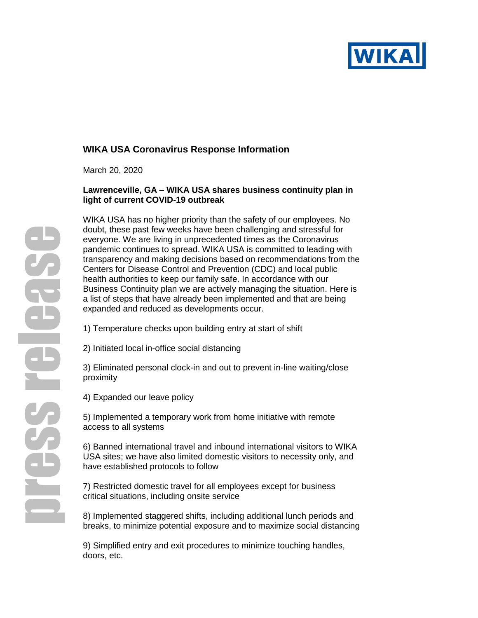

# **WIKA USA Coronavirus Response Information**

March 20, 2020

## **Lawrenceville, GA – WIKA USA shares business continuity plan in light of current COVID-19 outbreak**

WIKA USA has no higher priority than the safety of our employees. No doubt, these past few weeks have been challenging and stressful for everyone. We are living in unprecedented times as the Coronavirus pandemic continues to spread. WIKA USA is committed to leading with transparency and making decisions based on recommendations from the Centers for Disease Control and Prevention (CDC) and local public health authorities to keep our family safe. In accordance with our Business Continuity plan we are actively managing the situation. Here is a list of steps that have already been implemented and that are being expanded and reduced as developments occur.

1) Temperature checks upon building entry at start of shift

2) Initiated local in-office social distancing

3) Eliminated personal clock-in and out to prevent in-line waiting/close proximity

4) Expanded our leave policy

5) Implemented a temporary work from home initiative with remote access to all systems

6) Banned international travel and inbound international visitors to WIKA USA sites; we have also limited domestic visitors to necessity only, and have established protocols to follow

7) Restricted domestic travel for all employees except for business critical situations, including onsite service

8) Implemented staggered shifts, including additional lunch periods and breaks, to minimize potential exposure and to maximize social distancing

9) Simplified entry and exit procedures to minimize touching handles, doors, etc.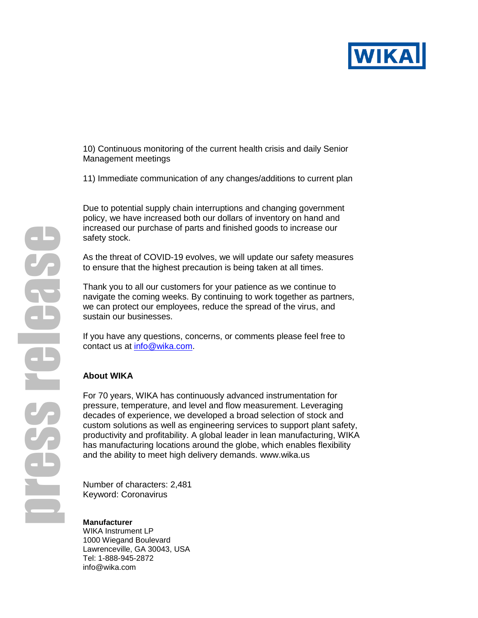

10) Continuous monitoring of the current health crisis and daily Senior Management meetings

11) Immediate communication of any changes/additions to current plan

Due to potential supply chain interruptions and changing government policy, we have increased both our dollars of inventory on hand and increased our purchase of parts and finished goods to increase our safety stock.

As the threat of COVID-19 evolves, we will update our safety measures to ensure that the highest precaution is being taken at all times.

Thank you to all our customers for your patience as we continue to navigate the coming weeks. By continuing to work together as partners, we can protect our employees, reduce the spread of the virus, and sustain our businesses.

If you have any questions, concerns, or comments please feel free to contact us at [info@wika.com.](mailto:info@wika.com)

### **About WIKA**

For 70 years, WIKA has continuously advanced instrumentation for pressure, temperature, and level and flow measurement. Leveraging decades of experience, we developed a broad selection of stock and custom solutions as well as engineering services to support plant safety, productivity and profitability. A global leader in lean manufacturing, WIKA has manufacturing locations around the globe, which enables flexibility and the ability to meet high delivery demands. [www.wika.us](http://www.wika.us/)

Number of characters: 2,481 Keyword: Coronavirus

# **Manufacturer**

WIKA Instrument LP 1000 Wiegand Boulevard Lawrenceville, GA 30043, USA Tel: 1-888-945-2872 info@wika.com